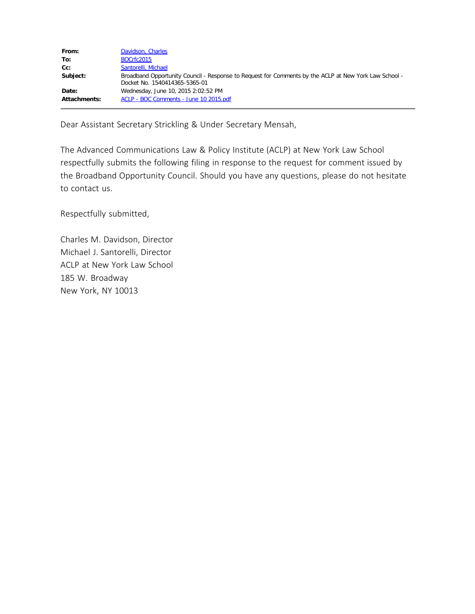| From:        | Davidson, Charles                                                                                                                      |
|--------------|----------------------------------------------------------------------------------------------------------------------------------------|
| To:          | BOCrfc2015                                                                                                                             |
| $Cc$ :       | Santorelli, Michael                                                                                                                    |
| Subject:     | Broadband Opportunity Council - Response to Request for Comments by the ACLP at New York Law School -<br>Docket No. 1540414365-5365-01 |
| Date:        | Wednesday, June 10, 2015 2:02:52 PM                                                                                                    |
| Attachments: | ACLP - BOC Comments - June 10 2015.pdf                                                                                                 |

Dear Assistant Secretary Strickling & Under Secretary Mensah,

The Advanced Communications Law & Policy Institute (ACLP) at New York Law School respectfully submits the following filing in response to the request for comment issued by the Broadband Opportunity Council. Should you have any questions, please do not hesitate to contact us.

Respectfully submitted,

Charles M. Davidson, Director Michael J. Santorelli, Director ACLP at New York Law School 185 W. Broadway New York, NY 10013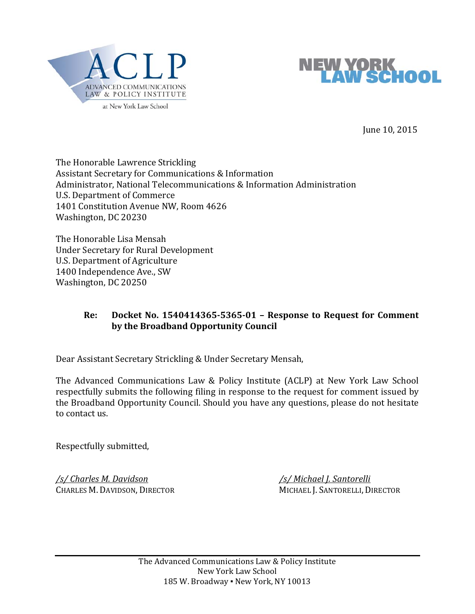



June 10, 2015

The Honorable Lawrence Strickling Assistant Secretary for Communications & Information Administrator, National Telecommunications & Information Administration U.S. Department of Commerce 1401 Constitution Avenue NW, Room 4626 Washington, DC 20230

The Honorable Lisa Mensah Under Secretary for Rural Development U.S. Department of Agriculture 1400 Independence Ave., SW Washington, DC 20250

# **Re: Docket No. 1540414365‐5365‐01 – Response to Request for Comment by the Broadband Opportunity Council**

Dear Assistant Secretary Strickling & Under Secretary Mensah,

The Advanced Communications Law & Policy Institute (ACLP) at New York Law School respectfully submits the following filing in response to the request for comment issued by the Broadband Opportunity Council. Should you have any questions, please do not hesitate to contact us.

Respectfully submitted,

*/s/ Charles M. Davidson /s/ Michael J. Santorelli* 

CHARLES M. DAVIDSON, DIRECTOR MICHAEL J. SANTORELLI, DIRECTOR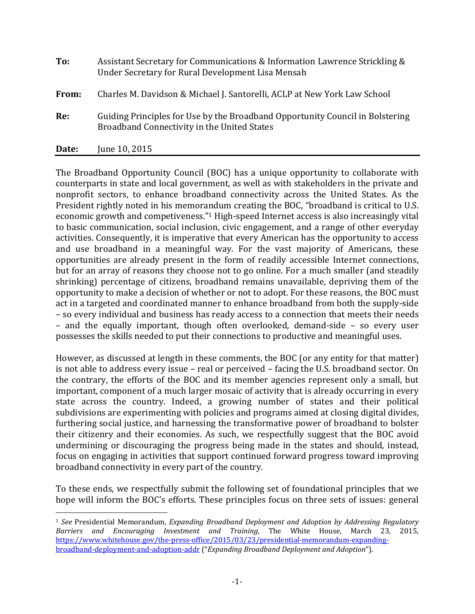| To:   | Assistant Secretary for Communications & Information Lawrence Strickling &<br>Under Secretary for Rural Development Lisa Mensah |
|-------|---------------------------------------------------------------------------------------------------------------------------------|
| From: | Charles M. Davidson & Michael J. Santorelli, ACLP at New York Law School                                                        |
| Re:   | Guiding Principles for Use by the Broadband Opportunity Council in Bolstering<br>Broadband Connectivity in the United States    |
| Date: | June 10, 2015                                                                                                                   |

The Broadband Opportunity Council (BOC) has a unique opportunity to collaborate with counterparts in state and local government, as well as with stakeholders in the private and nonprofit sectors, to enhance broadband connectivity across the United States. As the President rightly noted in his memorandum creating the BOC, "broadband is critical to U.S. economic growth and competiveness."<sup>1</sup> High-speed Internet access is also increasingly vital to basic communication, social inclusion, civic engagement, and a range of other everyday activities. Consequently, it is imperative that every American has the opportunity to access and use broadband in a meaningful way. For the vast majority of Americans, these opportunities are already present in the form of readily accessible Internet connections, but for an array of reasons they choose not to go online. For a much smaller (and steadily shrinking) percentage of citizens, broadband remains unavailable, depriving them of the opportunity to make a decision of whether or not to adopt. For these reasons, the BOC must act in a targeted and coordinated manner to enhance broadband from both the supply-side – so every individual and business has ready access to a connection that meets their needs  $-$  and the equally important, though often overlooked, demand-side  $-$  so every user possesses the skills needed to put their connections to productive and meaningful uses.

However, as discussed at length in these comments, the BOC (or any entity for that matter) is not able to address every issue – real or perceived – facing the U.S. broadband sector. On the contrary, the efforts of the BOC and its member agencies represent only a small, but important, component of a much larger mosaic of activity that is already occurring in every state across the country. Indeed, a growing number of states and their political subdivisions are experimenting with policies and programs aimed at closing digital divides, furthering social justice, and harnessing the transformative power of broadband to bolster their citizenry and their economies. As such, we respectfully suggest that the BOC avoid undermining or discouraging the progress being made in the states and should, instead, focus on engaging in activities that support continued forward progress toward improving broadband connectivity in every part of the country.

To these ends, we respectfully submit the following set of foundational principles that we hope will inform the BOC's efforts. These principles focus on three sets of issues: general

<sup>1</sup> *See* Presidential Memorandum, *Expanding Broadband Deployment and Adoption by Addressing Regulatory Barriers and Encouraging Investment and Training*, The White House, March 23, 2015, https://www.whitehouse.gov/the-press-office/2015/03/23/presidential-memorandum-expandingbroadband‐deployment‐and‐adoption‐addr ("*Expanding Broadband Deployment and Adoption*").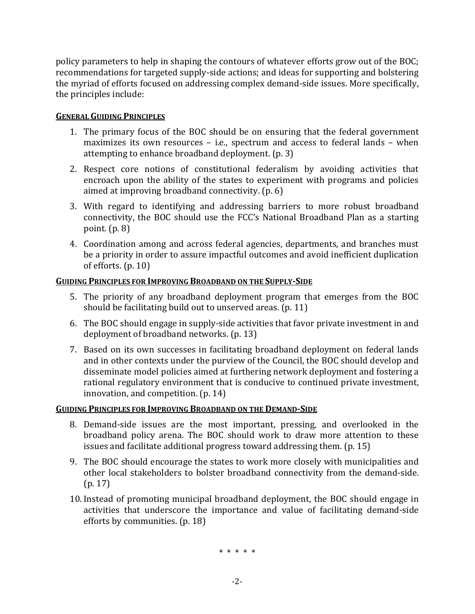policy parameters to help in shaping the contours of whatever efforts grow out of the BOC; recommendations for targeted supply-side actions; and ideas for supporting and bolstering the myriad of efforts focused on addressing complex demand-side issues. More specifically, the principles include:

# **GENERAL GUIDING PRINCIPLES**

- 1. The primary focus of the BOC should be on ensuring that the federal government maximizes its own resources  $-$  i.e., spectrum and access to federal lands  $-$  when attempting to enhance broadband deployment.  $(p, 3)$
- 2. Respect core notions of constitutional federalism by avoiding activities that encroach upon the ability of the states to experiment with programs and policies aimed at improving broadband connectivity.  $(p. 6)$
- 3. With regard to identifying and addressing barriers to more robust broadband connectivity, the BOC should use the FCC's National Broadband Plan as a starting point.  $(p, 8)$
- 4. Coordination among and across federal agencies, departments, and branches must be a priority in order to assure impactful outcomes and avoid inefficient duplication of efforts.  $(p. 10)$

# **GUIDING PRINCIPLES FOR IMPROVING BROADBAND ON THE SUPPLY‐SIDE**

- 5. The priority of any broadband deployment program that emerges from the BOC should be facilitating build out to unserved areas.  $(p. 11)$
- 6. The BOC should engage in supply-side activities that favor private investment in and deployment of broadband networks.  $(p. 13)$
- 7. Based on its own successes in facilitating broadband deployment on federal lands and in other contexts under the purview of the Council, the BOC should develop and disseminate model policies aimed at furthering network deployment and fostering a rational regulatory environment that is conducive to continued private investment, innovation, and competition.  $(p. 14)$

## **GUIDING PRINCIPLES FOR IMPROVING BROADBAND ON THE DEMAND‐SIDE**

- 8. Demand-side issues are the most important, pressing, and overlooked in the broadband policy arena. The BOC should work to draw more attention to these issues and facilitate additional progress toward addressing them.  $(p. 15)$
- 9. The BOC should encourage the states to work more closely with municipalities and other local stakeholders to bolster broadband connectivity from the demand-side.  $(p. 17)$
- 10. Instead of promoting municipal broadband deployment, the BOC should engage in activities that underscore the importance and value of facilitating demand-side efforts by communities.  $(p. 18)$

\* \* \* \* \*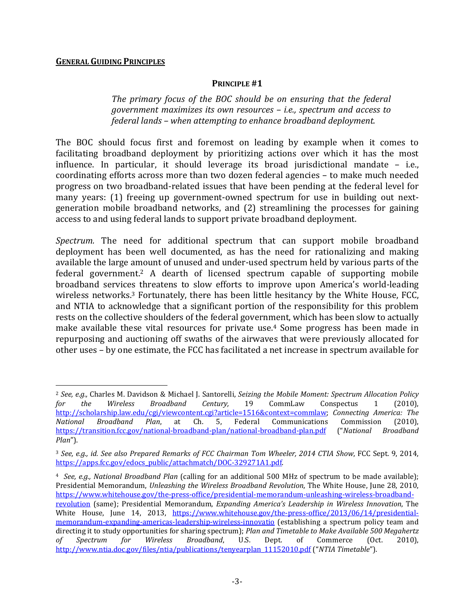#### **GENERAL GUIDING PRINCIPLES**

 $\overline{a}$ 

#### **PRINCIPLE #1**

*The primary focus of the BOC should be on ensuring that the federal government maximizes its own resources – i.e., spectrum and access to federal lands – when attempting to enhance broadband deployment.* 

The BOC should focus first and foremost on leading by example when it comes to facilitating broadband deployment by prioritizing actions over which it has the most influence. In particular, it should leverage its broad jurisdictional mandate  $-$  i.e., coordinating efforts across more than two dozen federal agencies – to make much needed progress on two broadband-related issues that have been pending at the federal level for many vears: (1) freeing up government-owned spectrum for use in building out nextgeneration mobile broadband networks, and (2) streamlining the processes for gaining access to and using federal lands to support private broadband deployment.

*Spectrum*. The need for additional spectrum that can support mobile broadband deployment has been well documented, as has the need for rationalizing and making available the large amount of unused and under-used spectrum held by various parts of the federal government.<sup>2</sup> A dearth of licensed spectrum capable of supporting mobile broadband services threatens to slow efforts to improve upon America's world-leading wireless networks.<sup>3</sup> Fortunately, there has been little hesitancy by the White House, FCC, and NTIA to acknowledge that a significant portion of the responsibility for this problem rests on the collective shoulders of the federal government, which has been slow to actually make available these vital resources for private use.<sup>4</sup> Some progress has been made in repurposing and auctioning off swaths of the airwaves that were previously allocated for other uses – by one estimate, the FCC has facilitated a net increase in spectrum available for

<sup>2</sup> *See, e.g.,* Charles M. Davidson & Michael J. Santorelli, *Seizing the Mobile Moment: Spectrum Allocation Policy for the Wireless Broadband Century,* 19 CommLaw Conspectus 1 (2010), http://scholarship.law.edu/cgi/viewcontent.cgi?article=1516&context=commlaw; *Connecting America: The National Broadband Plan*, at Ch. 5, Federal Communications Commission (2010), https://transition.fcc.gov/national‐broadband‐plan/national‐broadband‐plan.pdf ("*National Broadband Plan*"). 

<sup>3</sup> *See, e.g., id. See also Prepared Remarks of FCC Chairman Tom Wheeler, 2014 CTIA Show*, FCC Sept. 9, 2014, https://apps.fcc.gov/edocs\_public/attachmatch/DOC-329271A1.pdf.

<sup>&</sup>lt;sup>4</sup> See, e.g., National Broadband Plan (calling for an additional 500 MHz of spectrum to be made available); Presidential Memorandum, *Unleashing the Wireless Broadband Revolution*, The White House, June 28, 2010, https://www.whitehouse.gov/the-press-office/presidential-memorandum-unleashing-wireless-broadbandrevolution (same); Presidential Memorandum, *Expanding America's Leadership in Wireless Innovation*, The White House, June 14, 2013, https://www.whitehouse.gov/the-press-office/2013/06/14/presidentialmemorandum-expanding-americas-leadership-wireless-innovatio (establishing a spectrum policy team and directing it to study opportunities for sharing spectrum); Plan and Timetable to Make Available 500 Megahertz *of Spectrum for Wireless Broadband*, U.S. Dept. of Commerce (Oct. 2010), http://www.ntia.doc.gov/files/ntia/publications/tenyearplan\_11152010.pdf ("*NTIA Timetable*").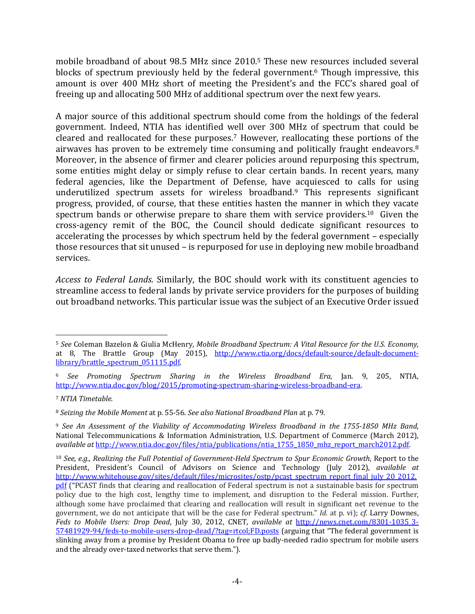mobile broadband of about  $98.5$  MHz since  $2010.5$  These new resources included several blocks of spectrum previously held by the federal government.<sup>6</sup> Though impressive, this amount is over 400 MHz short of meeting the President's and the FCC's shared goal of freeing up and allocating 500 MHz of additional spectrum over the next few years.

A major source of this additional spectrum should come from the holdings of the federal government. Indeed, NTIA has identified well over 300 MHz of spectrum that could be cleared and reallocated for these purposes.<sup>7</sup> However, reallocating these portions of the airwaves has proven to be extremely time consuming and politically fraught endeavors.<sup>8</sup> Moreover, in the absence of firmer and clearer policies around repurposing this spectrum, some entities might delay or simply refuse to clear certain bands. In recent years, many federal agencies, like the Department of Defense, have acquiesced to calls for using underutilized spectrum assets for wireless broadband.<sup>9</sup> This represents significant progress, provided, of course, that these entities hasten the manner in which they vacate spectrum bands or otherwise prepare to share them with service providers.<sup>10</sup> Given the cross-agency remit of the BOC, the Council should dedicate significant resources to accelerating the processes by which spectrum held by the federal government – especially those resources that sit unused – is repurposed for use in deploying new mobile broadband services. 

*Access to Federal Lands.* Similarly, the BOC should work with its constituent agencies to streamline access to federal lands by private service providers for the purposes of building out broadband networks. This particular issue was the subject of an Executive Order issued

 $\overline{a}$ <sup>5</sup> *See* Coleman Bazelon & Giulia McHenry, *Mobile Broadband Spectrum: A Vital Resource for the U.S. Economy*, at 8, The Brattle Group (May 2015), http://www.ctia.org/docs/default-source/default-documentlibrary/brattle\_spectrum\_051115.pdf. 

<sup>6</sup> *See Promoting Spectrum Sharing in the Wireless Broadband Era*, Jan. 9, 205, NTIA, http://www.ntia.doc.gov/blog/2015/promoting-spectrum-sharing-wireless-broadband-era.

<sup>7</sup> *NTIA Timetable.*

<sup>8</sup> *Seizing the Mobile Moment* at p. 55‐56. *See also National Broadband Plan* at p. 79. 

<sup>9</sup> *See An Assessment of the Viability of Accommodating Wireless Broadband in the 1755‐1850 MHz Band*, National Telecommunications & Information Administration, U.S. Department of Commerce (March 2012), *available at* http://www.ntia.doc.gov/files/ntia/publications/ntia\_1755\_1850\_mhz\_report\_march2012.pdf. 

<sup>10</sup> *See, e.g., Realizing the Full Potential of Government‐Held Spectrum to Spur Economic Growth*, Report to the President, President's Council of Advisors on Science and Technology (July 2012), *available at* http://www.whitehouse.gov/sites/default/files/microsites/ostp/pcast\_spectrum\_report\_final\_july\_20\_2012. pdf ("PCAST finds that clearing and reallocation of Federal spectrum is not a sustainable basis for spectrum policy due to the high cost, lengthy time to implement, and disruption to the Federal mission. Further, although some have proclaimed that clearing and reallocation will result in significant net revenue to the government, we do not anticipate that will be the case for Federal spectrum." *Id.* at p. vi); *cf.* Larry Downes, *Feds to Mobile Users: Drop Dead*, July 30, 2012, CNET, *available at* http://news.cnet.com/8301‐1035\_3‐ 57481929-94/feds-to-mobile-users-drop-dead/?tag=rtcol;FD.posts (arguing that "The federal government is slinking away from a promise by President Obama to free up badly-needed radio spectrum for mobile users and the already over-taxed networks that serve them.").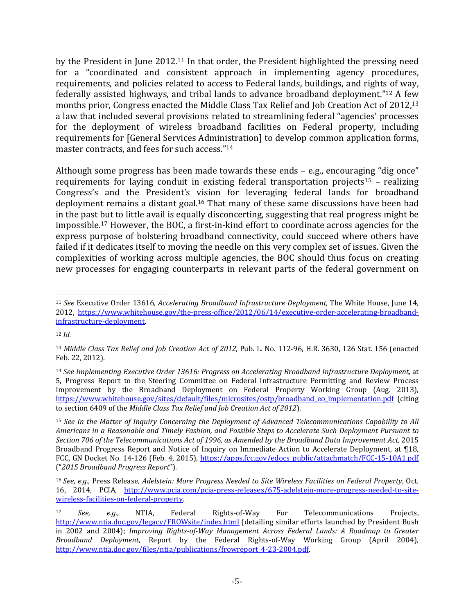by the President in June  $2012^{11}$  In that order, the President highlighted the pressing need for a "coordinated and consistent approach in implementing agency procedures, requirements, and policies related to access to Federal lands, buildings, and rights of way, federally assisted highways, and tribal lands to advance broadband deployment."<sup>12</sup> A few months prior, Congress enacted the Middle Class Tax Relief and Job Creation Act of  $2012<sup>13</sup>$ a law that included several provisions related to streamlining federal "agencies' processes for the deployment of wireless broadband facilities on Federal property, including requirements for [General Services Administration] to develop common application forms, master contracts, and fees for such access."<sup>14</sup>

Although some progress has been made towards these ends  $-$  e.g., encouraging "dig once" requirements for laying conduit in existing federal transportation projects<sup>15</sup> – realizing Congress's and the President's vision for leveraging federal lands for broadband deployment remains a distant goal.<sup>16</sup> That many of these same discussions have been had in the past but to little avail is equally disconcerting, suggesting that real progress might be impossible.<sup>17</sup> However, the BOC, a first-in-kind effort to coordinate across agencies for the express purpose of bolstering broadband connectivity, could succeed where others have failed if it dedicates itself to moving the needle on this very complex set of issues. Given the complexities of working across multiple agencies, the BOC should thus focus on creating new processes for engaging counterparts in relevant parts of the federal government on

<sup>&</sup>lt;sup>11</sup> See Executive Order 13616, *Accelerating Broadband Infrastructure Deployment*, The White House, June 14, 2012, https://www.whitehouse.gov/the-press-office/2012/06/14/executive-order-accelerating-broadbandinfrastructure‐deployment. 

<sup>12</sup> *Id.*

<sup>13</sup> *Middle Class Tax Relief and Job Creation Act of 2012*, Pub. L. No. 112‐96, H.R. 3630, 126 Stat. 156 (enacted Feb. 22, 2012).

<sup>14</sup> *See Implementing Executive Order 13616: Progress on Accelerating Broadband Infrastructure Deployment,* at 5, Progress Report to the Steering Committee on Federal Infrastructure Permitting and Review Process Improvement by the Broadband Deployment on Federal Property Working Group (Aug. 2013), https://www.whitehouse.gov/sites/default/files/microsites/ostp/broadband\_eo\_implementation.pdf (citing to section 6409 of the *Middle Class Tax Relief and Job Creation Act of 2012*). 

<sup>15</sup> *See In the Matter of Inquiry Concerning the Deployment of Advanced Telecommunications Capability to All Americans in a Reasonable and Timely Fashion, and Possible Steps to Accelerate Such Deployment Pursuant to Section 706 of the Telecommunications Act of 1996, as Amended by the Broadband Data Improvement Act,* 2015 Broadband Progress Report and Notice of Inquiry on Immediate Action to Accelerate Deployment, at 118, FCC, GN Docket No. 14-126 (Feb. 4, 2015), https://apps.fcc.gov/edocs\_public/attachmatch/FCC-15-10A1.pdf ("*2015 Broadband Progress Report*"). 

<sup>16</sup>*See, e.g.,* Press Release, *Adelstein: More Progress Needed to Site Wireless Facilities on Federal Property*, Oct. 16, 2014, PCIA, http://www.pcia.com/pcia-press-releases/675-adelstein-more-progress-needed-to-sitewireless‐facilities‐on‐federal‐property. 

<sup>&</sup>lt;sup>17</sup> *See, e.g.,* NTIA, Federal Rights-of-Way For Telecommunications Projects, http://www.ntia.doc.gov/legacy/FROWsite/index.html (detailing similar efforts launched by President Bush in 2002 and 2004); *Improving Rights‐of‐Way Management Across Federal Lands: A Roadmap to Greater Broadband Deployment*, Report by the Federal Rights-of-Way Working Group (April 2004), http://www.ntia.doc.gov/files/ntia/publications/frowreport 4-23-2004.pdf.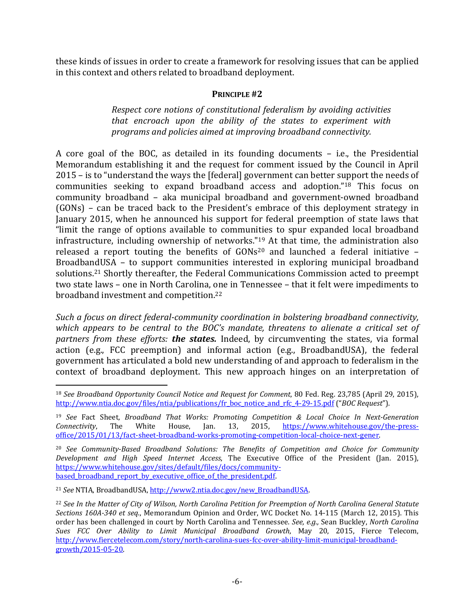these kinds of issues in order to create a framework for resolving issues that can be applied in this context and others related to broadband deployment.

# **PRINCIPLE #2**

*Respect core notions of constitutional federalism by avoiding activities that encroach upon the ability of the states to experiment with programs and policies aimed at improving broadband connectivity.* 

A core goal of the BOC, as detailed in its founding documents  $-$  i.e., the Presidential Memorandum establishing it and the request for comment issued by the Council in April  $2015$  – is to "understand the ways the [federal] government can better support the needs of communities seeking to expand broadband access and adoption."<sup>18</sup> This focus on community broadband – aka municipal broadband and government-owned broadband  $(GONs)$  – can be traced back to the President's embrace of this deployment strategy in January 2015, when he announced his support for federal preemption of state laws that "limit the range of options available to communities to spur expanded local broadband infrastructure, including ownership of networks."<sup>19</sup> At that time, the administration also released a report touting the benefits of  $GONs<sup>20</sup>$  and launched a federal initiative -BroadbandUSA  $-$  to support communities interested in exploring municipal broadband solutions.<sup>21</sup> Shortly thereafter, the Federal Communications Commission acted to preempt two state laws - one in North Carolina, one in Tennessee - that it felt were impediments to broadband investment and competition.<sup>22</sup>

*Such a focus on direct federal‐community coordination in bolstering broadband connectivity, which appears to be central to the BOC's mandate, threatens to alienate a critical set of partners from these efforts: the states.* Indeed, by circumventing the states, via formal action (e.g., FCC preemption) and informal action (e.g., BroadbandUSA), the federal government has articulated a bold new understanding of and approach to federalism in the context of broadband deployment. This new approach hinges on an interpretation of

<sup>21</sup> See NTIA, BroadbandUSA, http://www2.ntia.doc.gov/new\_BroadbandUSA.

<sup>18</sup> *See Broadband Opportunity Council Notice and Request for Comment*, 80 Fed. Reg. 23,785 (April 29, 2015), http://www.ntia.doc.gov/files/ntia/publications/fr\_boc\_notice\_and\_rfc\_4‐29‐15.pdf ("*BOC Request*"). 

<sup>19</sup> *See* Fact Sheet, *Broadband That Works: Promoting Competition & Local Choice In Next‐Generation Connectivity*, The White House, Jan. 13, 2015, https://www.whitehouse.gov/the-pressoffice/2015/01/13/fact‐sheet‐broadband‐works‐promoting‐competition‐local‐choice‐next‐gener. 

<sup>20</sup> *See Community‐Based Broadband Solutions: The Benefits of Competition and Choice for Community Development and High Speed Internet Access*, The Executive Office of the President (Jan. 2015), https://www.whitehouse.gov/sites/default/files/docs/community‐ based\_broadband\_report\_by\_executive\_office\_of\_the\_president.pdf.

<sup>&</sup>lt;sup>22</sup> See In the Matter of City of Wilson, North Carolina Petition for Preemption of North Carolina General Statute *Sections 160A‐340 et seq.*, Memorandum Opinion and Order, WC Docket No. 14‐115 (March 12, 2015). This order has been challenged in court by North Carolina and Tennessee. *See, e.g.,* Sean Buckley, *North Carolina Sues FCC Over Ability to Limit Municipal Broadband Growth*, May 20, 2015, Fierce Telecom, http://www.fiercetelecom.com/story/north-carolina-sues-fcc-over-ability-limit-municipal-broadbandgrowth/2015-05-20.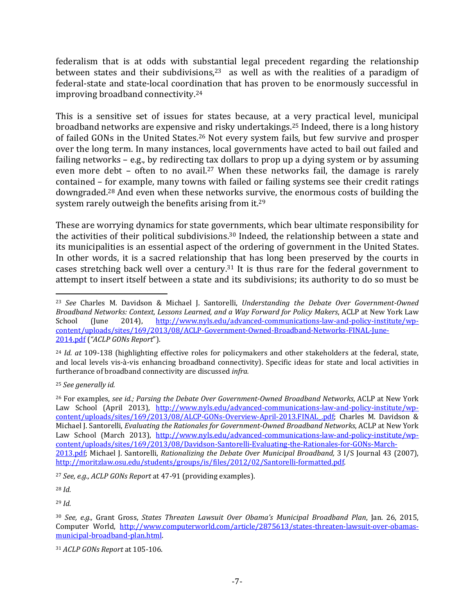federalism that is at odds with substantial legal precedent regarding the relationship between states and their subdivisions,<sup>23</sup> as well as with the realities of a paradigm of federal-state and state-local coordination that has proven to be enormously successful in improving broadband connectivity.<sup>24</sup>

This is a sensitive set of issues for states because, at a very practical level, municipal broadband networks are expensive and risky undertakings.<sup>25</sup> Indeed, there is a long history of failed GONs in the United States.<sup>26</sup> Not every system fails, but few survive and prosper over the long term. In many instances, local governments have acted to bail out failed and failing networks  $-$  e.g., by redirecting tax dollars to prop up a dying system or by assuming even more debt – often to no avail.<sup>27</sup> When these networks fail, the damage is rarely contained – for example, many towns with failed or failing systems see their credit ratings downgraded.<sup>28</sup> And even when these networks survive, the enormous costs of building the system rarely outweigh the benefits arising from it.<sup>29</sup>

These are worrying dynamics for state governments, which bear ultimate responsibility for the activities of their political subdivisions.<sup>30</sup> Indeed, the relationship between a state and its municipalities is an essential aspect of the ordering of government in the United States. In other words, it is a sacred relationship that has long been preserved by the courts in cases stretching back well over a century.<sup>31</sup> It is thus rare for the federal government to attempt to insert itself between a state and its subdivisions; its authority to do so must be

<sup>27</sup> *See, e.g., ACLP GONs Report* at 47‐91 (providing examples). 

<sup>28</sup> *Id.*

 $\overline{a}$ 

<sup>29</sup> *Id.*

<sup>23</sup> *See* Charles M. Davidson & Michael J. Santorelli, *Understanding the Debate Over Government‐Owned Broadband Networks: Context, Lessons Learned, and a Way Forward for Policy Makers*, ACLP at New York Law School (June 2014), http://www.nyls.edu/advanced-communications-law-and-policy-institute/wpcontent/uploads/sites/169/2013/08/ACLP‐Government‐Owned‐Broadband‐Networks‐FINAL‐June‐ 2014.pdf (*"ACLP GONs Report*"). 

<sup>&</sup>lt;sup>24</sup> *Id. at* 109-138 (highlighting effective roles for policymakers and other stakeholders at the federal, state, and local levels vis-à-vis enhancing broadband connectivity). Specific ideas for state and local activities in furtherance of broadband connectivity are discussed *infra*.

<sup>25</sup> *See generally id.*

<sup>26</sup> For examples, *see id.; Parsing the Debate Over Government‐Owned Broadband Networks*, ACLP at New York Law School (April 2013), http://www.nyls.edu/advanced-communications-law-and-policy-institute/wpcontent/uploads/sites/169/2013/08/ALCP-GONs-Overview-April-2013.FINAL\_.pdf; Charles M. Davidson & Michael J. Santorelli, *Evaluating the Rationales for Government‐Owned Broadband Networks*, ACLP at New York Law School (March 2013), http://www.nyls.edu/advanced-communications-law-and-policy-institute/wpcontent/uploads/sites/169/2013/08/Davidson‐Santorelli‐Evaluating‐the‐Rationales‐for‐GONs‐March‐ 2013.pdf; Michael J. Santorelli, *Rationalizing the Debate Over Municipal Broadband,* 3 I/S Journal 43 (2007), http://moritzlaw.osu.edu/students/groups/is/files/2012/02/Santorelli-formatted.pdf.

<sup>30</sup> *See, e.g.,* Grant Gross, *States Threaten Lawsuit Over Obama's Municipal Broadband Plan*, Jan. 26, 2015, Computer World, http://www.computerworld.com/article/2875613/states-threaten-lawsuit-over-obamasmunicipal‐broadband‐plan.html. 

<sup>31</sup> *ACLP GONs Report* at 105-106.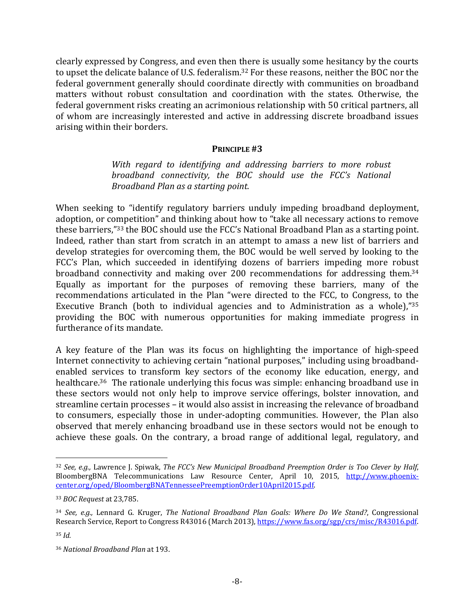clearly expressed by Congress, and even then there is usually some hesitancy by the courts to upset the delicate balance of U.S. federalism.<sup>32</sup> For these reasons, neither the BOC nor the federal government generally should coordinate directly with communities on broadband matters without robust consultation and coordination with the states. Otherwise, the federal government risks creating an acrimonious relationship with 50 critical partners, all of whom are increasingly interested and active in addressing discrete broadband issues arising within their borders.

#### **PRINCIPLE #3**

*With regard to identifying and addressing barriers to more robust broadband connectivity, the BOC should use the FCC's National Broadband Plan as a starting point.* 

When seeking to "identify regulatory barriers unduly impeding broadband deployment, adoption, or competition" and thinking about how to "take all necessary actions to remove these barriers,"<sup>33</sup> the BOC should use the FCC's National Broadband Plan as a starting point. Indeed, rather than start from scratch in an attempt to amass a new list of barriers and develop strategies for overcoming them, the BOC would be well served by looking to the FCC's Plan, which succeeded in identifying dozens of barriers impeding more robust broadband connectivity and making over 200 recommendations for addressing them.<sup>34</sup> Equally as important for the purposes of removing these barriers, many of the recommendations articulated in the Plan "were directed to the FCC, to Congress, to the Executive Branch (both to individual agencies and to Administration as a whole), $^{735}$ providing the BOC with numerous opportunities for making immediate progress in furtherance of its mandate.

A key feature of the Plan was its focus on highlighting the importance of high-speed Internet connectivity to achieving certain "national purposes," including using broadbandenabled services to transform key sectors of the economy like education, energy, and healthcare.<sup>36</sup> The rationale underlying this focus was simple: enhancing broadband use in these sectors would not only help to improve service offerings, bolster innovation, and streamline certain processes – it would also assist in increasing the relevance of broadband to consumers, especially those in under-adopting communities. However, the Plan also observed that merely enhancing broadband use in these sectors would not be enough to achieve these goals. On the contrary, a broad range of additional legal, regulatory, and

1

<sup>32</sup> *See, e.g.,* Lawrence J. Spiwak, *The FCC's New Municipal Broadband Preemption Order is Too Clever by Half*, BloombergBNA Telecommunications Law Resource Center, April 10, 2015, http://www.phoenixcenter.org/oped/BloombergBNATennesseePreemptionOrder10April2015.pdf. 

<sup>33</sup> *BOC Request* at 23,785. 

<sup>34</sup> *See, e.g.,* Lennard G. Kruger, *The National Broadband Plan Goals: Where Do We Stand?*, Congressional Research Service, Report to Congress R43016 (March 2013), https://www.fas.org/sgp/crs/misc/R43016.pdf. <sup>35</sup> *Id.*

<sup>36</sup> *National Broadband Plan* at 193.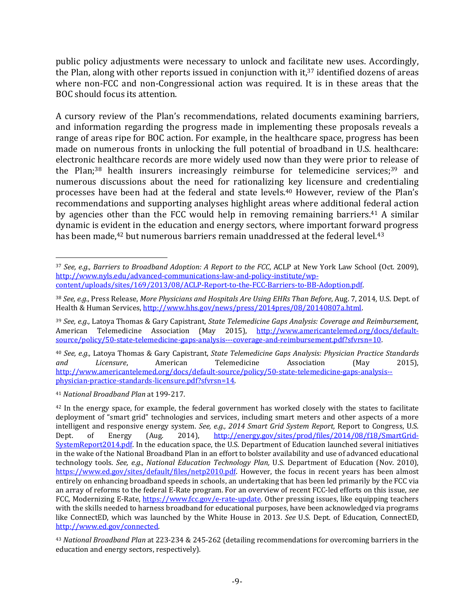public policy adjustments were necessary to unlock and facilitate new uses. Accordingly, the Plan, along with other reports issued in conjunction with it, $37$  identified dozens of areas where non-FCC and non-Congressional action was required. It is in these areas that the BOC should focus its attention.

A cursory review of the Plan's recommendations, related documents examining barriers, and information regarding the progress made in implementing these proposals reveals a range of areas ripe for BOC action. For example, in the healthcare space, progress has been made on numerous fronts in unlocking the full potential of broadband in U.S. healthcare: electronic healthcare records are more widely used now than they were prior to release of the Plan;<sup>38</sup> health insurers increasingly reimburse for telemedicine services;<sup>39</sup> and numerous discussions about the need for rationalizing key licensure and credentialing processes have been had at the federal and state levels.<sup>40</sup> However, review of the Plan's recommendations and supporting analyses highlight areas where additional federal action by agencies other than the FCC would help in removing remaining barriers.<sup>41</sup> A similar dynamic is evident in the education and energy sectors, where important forward progress has been made, $42$  but numerous barriers remain unaddressed at the federal level. $43$ 

<sup>41</sup> *National Broadband Plan* at 199‐217. 

<sup>1</sup> <sup>37</sup> *See, e.g., Barriers to Broadband Adoption: A Report to the FCC*, ACLP at New York Law School (Oct. 2009), http://www.nyls.edu/advanced-communications-law-and-policy-institute/wpcontent/uploads/sites/169/2013/08/ACLP‐Report‐to‐the‐FCC‐Barriers‐to‐BB‐Adoption.pdf. 

<sup>38</sup> *See, e.g.,* Press Release, *More Physicians and Hospitals Are Using EHRs Than Before*, Aug. 7, 2014, U.S. Dept. of Health & Human Services, http://www.hhs.gov/news/press/2014pres/08/20140807a.html.

<sup>39</sup> *See, e.g.,* Latoya Thomas & Gary Capistrant, *State Telemedicine Gaps Analysis: Coverage and Reimbursement*, American Telemedicine Association (May 2015), http://www.americantelemed.org/docs/defaultsource/policy/50-state-telemedicine-gaps-analysis---coverage-and-reimbursement.pdf?sfvrsn=10.

<sup>40</sup> *See, e.g.,* Latoya Thomas & Gary Capistrant, *State Telemedicine Gaps Analysis: Physician Practice Standards* and *Licensure*, American Telemedicine Association (May 2015), http://www.americantelemed.org/docs/default-source/policy/50-state-telemedicine-gaps-analysis-physician‐practice‐standards‐licensure.pdf?sfvrsn=14. 

 $42$  In the energy space, for example, the federal government has worked closely with the states to facilitate deployment of "smart grid" technologies and services, including smart meters and other aspects of a more intelligent and responsive energy system. *See, e.g., 2014 Smart Grid System Report*, Report to Congress, U.S. Dept. of Energy (Aug. 2014), http://energy.gov/sites/prod/files/2014/08/f18/SmartGrid- $SystemReport2014.pdf.$  In the education space, the U.S. Department of Education launched several initiatives in the wake of the National Broadband Plan in an effort to bolster availability and use of advanced educational technology tools. *See, e.g., National Education Technology Plan,* U.S. Department of Education (Nov. 2010), https://www.ed.gov/sites/default/files/netp2010.pdf. However, the focus in recent years has been almost entirely on enhancing broadband speeds in schools, an undertaking that has been led primarily by the FCC via an array of reforms to the federal E-Rate program. For an overview of recent FCC-led efforts on this issue, see FCC, Modernizing E-Rate, https://www.fcc.gov/e-rate-update. Other pressing issues, like equipping teachers with the skills needed to harness broadband for educational purposes, have been acknowledged via programs like ConnectED, which was launched by the White House in 2013. *See* U.S. Dept. of Education, ConnectED, http://www.ed.gov/connected. 

<sup>&</sup>lt;sup>43</sup> *National Broadband Plan* at 223-234 & 245-262 (detailing recommendations for overcoming barriers in the education and energy sectors, respectively).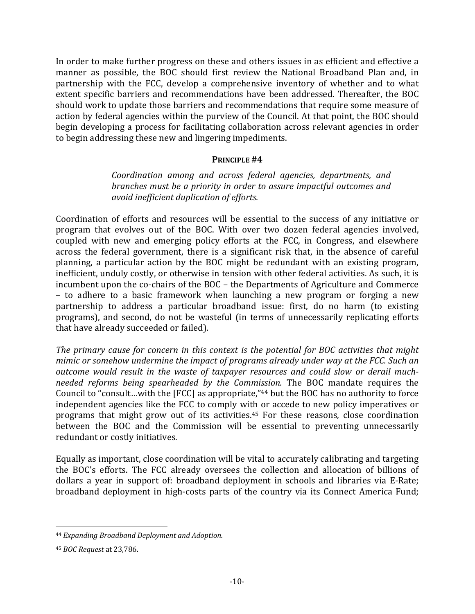In order to make further progress on these and others issues in as efficient and effective a manner as possible, the BOC should first review the National Broadband Plan and, in partnership with the FCC, develop a comprehensive inventory of whether and to what extent specific barriers and recommendations have been addressed. Thereafter, the BOC should work to update those barriers and recommendations that require some measure of action by federal agencies within the purview of the Council. At that point, the BOC should begin developing a process for facilitating collaboration across relevant agencies in order to begin addressing these new and lingering impediments.

### **PRINCIPLE #4**

*Coordination among and across federal agencies, departments, and branches must be a priority in order to assure impactful outcomes and avoid inefficient duplication of efforts.* 

Coordination of efforts and resources will be essential to the success of any initiative or program that evolves out of the BOC. With over two dozen federal agencies involved, coupled with new and emerging policy efforts at the FCC, in Congress, and elsewhere across the federal government, there is a significant risk that, in the absence of careful planning, a particular action by the BOC might be redundant with an existing program, inefficient, unduly costly, or otherwise in tension with other federal activities. As such, it is incumbent upon the co-chairs of the  $BOC$  – the Departments of Agriculture and Commerce – to adhere to a basic framework when launching a new program or forging a new partnership to address a particular broadband issue: first, do no harm (to existing programs), and second, do not be wasteful (in terms of unnecessarily replicating efforts that have already succeeded or failed).

*The primary cause for concern in this context is the potential for BOC activities that might mimic or somehow undermine the impact of programs already under way at the FCC. Such an outcome would result in the waste of taxpayer resources and could slow or derail much‐ needed reforms being spearheaded by the Commission.* The BOC mandate requires the Council to "consult...with the [FCC] as appropriate,"<sup>44</sup> but the BOC has no authority to force independent agencies like the FCC to comply with or accede to new policy imperatives or programs that might grow out of its activities.<sup>45</sup> For these reasons, close coordination between the BOC and the Commission will be essential to preventing unnecessarily redundant or costly initiatives.

Equally as important, close coordination will be vital to accurately calibrating and targeting the BOC's efforts. The FCC already oversees the collection and allocation of billions of dollars a year in support of: broadband deployment in schools and libraries via E-Rate; broadband deployment in high-costs parts of the country via its Connect America Fund;

<sup>44</sup> *Expanding Broadband Deployment and Adoption.*

<sup>45</sup> *BOC Request* at 23,786.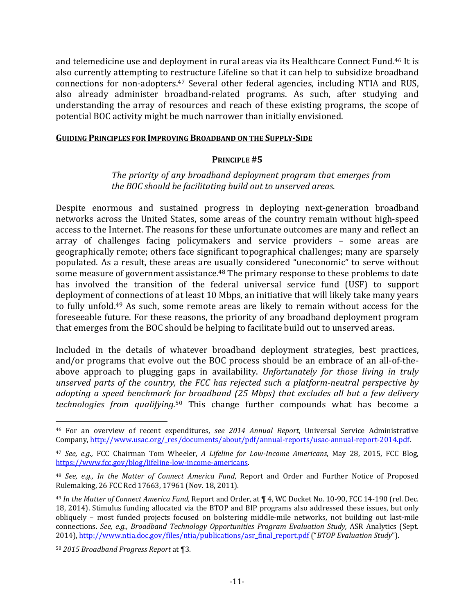and telemedicine use and deployment in rural areas via its Healthcare Connect Fund.<sup>46</sup> It is also currently attempting to restructure Lifeline so that it can help to subsidize broadband connections for non-adopters.<sup>47</sup> Several other federal agencies, including NTIA and RUS, also already administer broadband-related programs. As such, after studying and understanding the array of resources and reach of these existing programs, the scope of potential BOC activity might be much narrower than initially envisioned.

#### **GUIDING PRINCIPLES FOR IMPROVING BROADBAND ON THE SUPPLY‐SIDE**

### **PRINCIPLE #5**

### *The priority of any broadband deployment program that emerges from the BOC should be facilitating build out to unserved areas.*

Despite enormous and sustained progress in deploying next-generation broadband networks across the United States, some areas of the country remain without high-speed access to the Internet. The reasons for these unfortunate outcomes are many and reflect an array of challenges facing policymakers and service providers – some areas are geographically remote; others face significant topographical challenges; many are sparsely populated. As a result, these areas are usually considered "uneconomic" to serve without some measure of government assistance.<sup>48</sup> The primary response to these problems to date has involved the transition of the federal universal service fund (USF) to support deployment of connections of at least 10 Mbps, an initiative that will likely take many years to fully unfold.<sup>49</sup> As such, some remote areas are likely to remain without access for the foreseeable future. For these reasons, the priority of any broadband deployment program that emerges from the BOC should be helping to facilitate build out to unserved areas.

Included in the details of whatever broadband deployment strategies, best practices, and/or programs that evolve out the BOC process should be an embrace of an all-of-theabove approach to plugging gaps in availability. *Unfortunately for those living in truly unserved parts of the country, the FCC has rejected such a platform‐neutral perspective by adopting a speed benchmark for broadband (25 Mbps) that excludes all but a few delivery technologies from qualifying*.<sup>50</sup> This change further compounds what has become a

<sup>46</sup> For an overview of recent expenditures, *see 2014 Annual Report*, Universal Service Administrative Company, http://www.usac.org/\_res/documents/about/pdf/annual-reports/usac-annual-report-2014.pdf.

<sup>47</sup> *See, e.g.,* FCC Chairman Tom Wheeler, *A Lifeline for Low‐Income Americans*, May 28, 2015, FCC Blog, https://www.fcc.gov/blog/lifeline-low-income-americans.

<sup>48</sup> *See, e.g., In the Matter of Connect America Fund*, Report and Order and Further Notice of Proposed Rulemaking, 26 FCC Rcd 17663, 17961 (Nov. 18, 2011).

<sup>&</sup>lt;sup>49</sup> In the Matter of Connect America Fund, Report and Order, at  $\P$  4, WC Docket No. 10-90, FCC 14-190 (rel. Dec. 18, 2014). Stimulus funding allocated via the BTOP and BIP programs also addressed these issues, but only obliquely – most funded projects focused on bolstering middle-mile networks, not building out last-mile connections. *See, e.g., Broadband Technology Opportunities Program Evaluation Study,* ASR Analytics (Sept. 2014), http://www.ntia.doc.gov/files/ntia/publications/asr\_final\_report.pdf ("BTOP *Evaluation Study"*).

<sup>50</sup> *2015 Broadband Progress Report* at ¶3.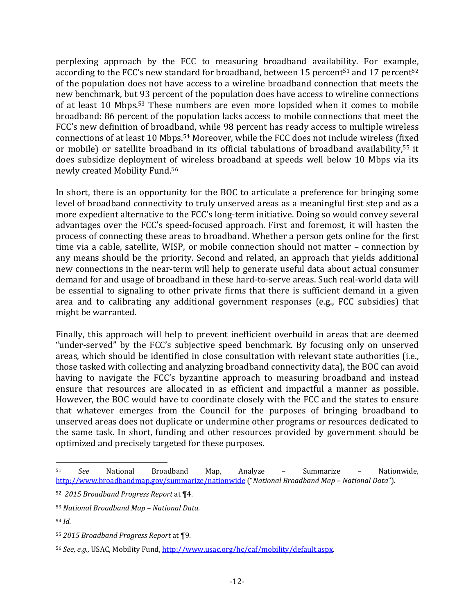perplexing approach by the FCC to measuring broadband availability. For example, according to the FCC's new standard for broadband, between 15 percent<sup>51</sup> and 17 percent<sup>52</sup> of the population does not have access to a wireline broadband connection that meets the new benchmark, but 93 percent of the population does have access to wireline connections of at least 10 Mbps.<sup>53</sup> These numbers are even more lopsided when it comes to mobile broadband: 86 percent of the population lacks access to mobile connections that meet the FCC's new definition of broadband, while 98 percent has ready access to multiple wireless connections of at least 10 Mbps.<sup>54</sup> Moreover, while the FCC does not include wireless (fixed or mobile) or satellite broadband in its official tabulations of broadband availability,<sup>55</sup> it does subsidize deployment of wireless broadband at speeds well below 10 Mbps via its newly created Mobility Fund.<sup>56</sup>

In short, there is an opportunity for the BOC to articulate a preference for bringing some level of broadband connectivity to truly unserved areas as a meaningful first step and as a more expedient alternative to the FCC's long-term initiative. Doing so would convey several advantages over the FCC's speed-focused approach. First and foremost, it will hasten the process of connecting these areas to broadband. Whether a person gets online for the first time via a cable, satellite, WISP, or mobile connection should not matter  $-$  connection by any means should be the priority. Second and related, an approach that yields additional new connections in the near-term will help to generate useful data about actual consumer demand for and usage of broadband in these hard-to-serve areas. Such real-world data will be essential to signaling to other private firms that there is sufficient demand in a given area and to calibrating any additional government responses (e.g., FCC subsidies) that might be warranted.

Finally, this approach will help to prevent inefficient overbuild in areas that are deemed "under-served" by the FCC's subjective speed benchmark. By focusing only on unserved areas, which should be identified in close consultation with relevant state authorities (i.e., those tasked with collecting and analyzing broadband connectivity data), the BOC can avoid having to navigate the FCC's byzantine approach to measuring broadband and instead ensure that resources are allocated in as efficient and impactful a manner as possible. However, the BOC would have to coordinate closely with the FCC and the states to ensure that whatever emerges from the Council for the purposes of bringing broadband to unserved areas does not duplicate or undermine other programs or resources dedicated to the same task. In short, funding and other resources provided by government should be optimized and precisely targeted for these purposes.

 $\overline{a}$ 51 *See* National Broadband Map, Analyze – Summarize – Nationwide, http://www.broadbandmap.gov/summarize/nationwide ("*National Broadband Map – National Data*"). 

<sup>52</sup> *2015 Broadband Progress Report* at ¶4. 

<sup>53</sup> *National Broadband Map – National Data.*

<sup>54</sup> *Id.*

<sup>55</sup> *2015 Broadband Progress Report* at ¶9. 

<sup>56</sup> *See, e.g.,* USAC, Mobility Fund, http://www.usac.org/hc/caf/mobility/default.aspx.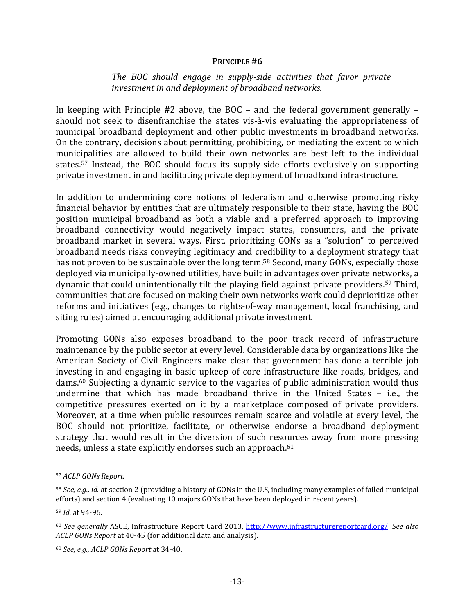#### **PRINCIPLE #6**

### *The BOC should engage in supply‐side activities that favor private investment in and deployment of broadband networks.*

In keeping with Principle  $#2$  above, the BOC – and the federal government generally – should not seek to disenfranchise the states vis-à-vis evaluating the appropriateness of municipal broadband deployment and other public investments in broadband networks. On the contrary, decisions about permitting, prohibiting, or mediating the extent to which municipalities are allowed to build their own networks are best left to the individual states.<sup>57</sup> Instead, the BOC should focus its supply-side efforts exclusively on supporting private investment in and facilitating private deployment of broadband infrastructure.

In addition to undermining core notions of federalism and otherwise promoting risky financial behavior by entities that are ultimately responsible to their state, having the BOC position municipal broadband as both a viable and a preferred approach to improving broadband connectivity would negatively impact states, consumers, and the private broadband market in several ways. First, prioritizing GONs as a "solution" to perceived broadband needs risks conveying legitimacy and credibility to a deployment strategy that has not proven to be sustainable over the long term.<sup>58</sup> Second, many GONs, especially those deployed via municipally-owned utilities, have built in advantages over private networks, a dynamic that could unintentionally tilt the playing field against private providers.<sup>59</sup> Third, communities that are focused on making their own networks work could deprioritize other reforms and initiatives (e.g., changes to rights-of-way management, local franchising, and siting rules) aimed at encouraging additional private investment.

Promoting GONs also exposes broadband to the poor track record of infrastructure maintenance by the public sector at every level. Considerable data by organizations like the American Society of Civil Engineers make clear that government has done a terrible job investing in and engaging in basic upkeep of core infrastructure like roads, bridges, and dams.<sup>60</sup> Subjecting a dynamic service to the vagaries of public administration would thus undermine that which has made broadband thrive in the United States - i.e., the competitive pressures exerted on it by a marketplace composed of private providers. Moreover, at a time when public resources remain scarce and volatile at every level, the BOC should not prioritize, facilitate, or otherwise endorse a broadband deployment strategy that would result in the diversion of such resources away from more pressing needs, unless a state explicitly endorses such an approach.<sup>61</sup>

<sup>57</sup> *ACLP GONs Report.*

<sup>&</sup>lt;sup>58</sup> *See, e.g., id.* at section 2 (providing a history of GONs in the U.S, including many examples of failed municipal efforts) and section 4 (evaluating 10 majors GONs that have been deployed in recent years).

<sup>59</sup> *Id.* at 94‐96. 

<sup>60</sup> *See generally* ASCE, Infrastructure Report Card 2013, http://www.infrastructurereportcard.org/. *See also ACLP GONs Report* at 40-45 (for additional data and analysis).

<sup>61</sup> *See, e.g., ACLP GONs Report* at 34‐40.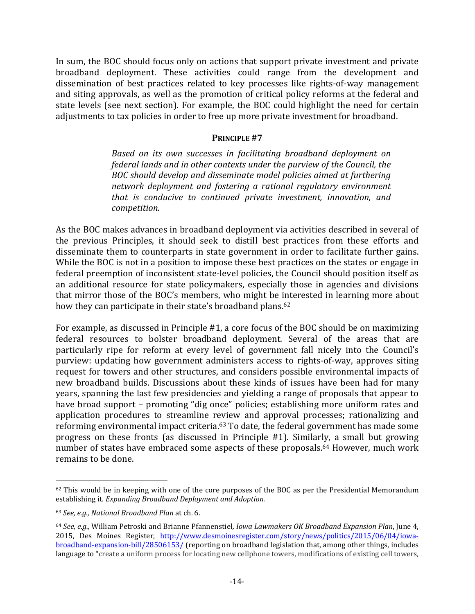In sum, the BOC should focus only on actions that support private investment and private broadband deployment. These activities could range from the development and dissemination of best practices related to key processes like rights-of-way management and siting approvals, as well as the promotion of critical policy reforms at the federal and state levels (see next section). For example, the BOC could highlight the need for certain adjustments to tax policies in order to free up more private investment for broadband.

### **PRINCIPLE #7**

*Based on its own successes in facilitating broadband deployment on federal lands and in other contexts under the purview of the Council, the BOC should develop and disseminate model policies aimed at furthering network deployment and fostering a rational regulatory environment that is conducive to continued private investment, innovation, and*  $connection.$ 

As the BOC makes advances in broadband deployment via activities described in several of the previous Principles, it should seek to distill best practices from these efforts and disseminate them to counterparts in state government in order to facilitate further gains. While the BOC is not in a position to impose these best practices on the states or engage in federal preemption of inconsistent state-level policies, the Council should position itself as an additional resource for state policymakers, especially those in agencies and divisions that mirror those of the BOC's members, who might be interested in learning more about how they can participate in their state's broadband plans.<sup>62</sup>

For example, as discussed in Principle #1, a core focus of the BOC should be on maximizing federal resources to bolster broadband deployment. Several of the areas that are particularly ripe for reform at every level of government fall nicely into the Council's purview: updating how government administers access to rights-of-way, approves siting request for towers and other structures, and considers possible environmental impacts of new broadband builds. Discussions about these kinds of issues have been had for many years, spanning the last few presidencies and yielding a range of proposals that appear to have broad support - promoting "dig once" policies; establishing more uniform rates and application procedures to streamline review and approval processes; rationalizing and reforming environmental impact criteria.<sup>63</sup> To date, the federal government has made some progress on these fronts (as discussed in Principle  $#1$ ). Similarly, a small but growing number of states have embraced some aspects of these proposals.<sup>64</sup> However, much work remains to be done.

 $62$  This would be in keeping with one of the core purposes of the BOC as per the Presidential Memorandum establishing it. *Expanding Broadband Deployment and Adoption.*

<sup>63</sup> *See, e.g., National Broadband Plan* at ch. 6. 

<sup>64</sup> *See, e.g.,* William Petroski and Brianne Pfannenstiel*, Iowa Lawmakers OK Broadband Expansion Plan*, June 4, 2015, Des Moines Register, http://www.desmoinesregister.com/story/news/politics/2015/06/04/iowabroadband-expansion-bill/28506153/ (reporting on broadband legislation that, among other things, includes language to "create a uniform process for locating new cellphone towers, modifications of existing cell towers,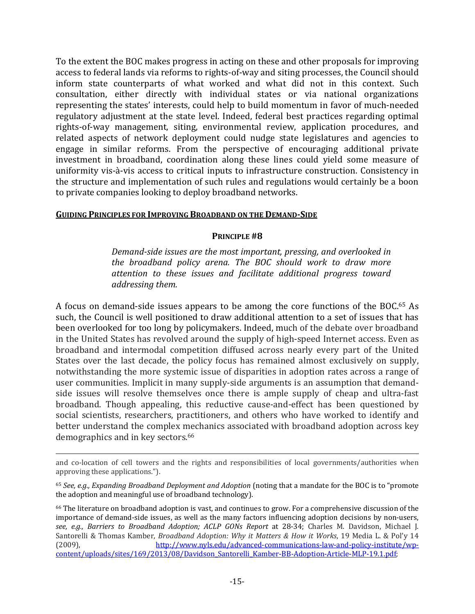To the extent the BOC makes progress in acting on these and other proposals for improving access to federal lands via reforms to rights-of-way and siting processes, the Council should inform state counterparts of what worked and what did not in this context. Such consultation, either directly with individual states or via national organizations representing the states' interests, could help to build momentum in favor of much-needed regulatory adjustment at the state level. Indeed, federal best practices regarding optimal rights-of-way management, siting, environmental review, application procedures, and related aspects of network deployment could nudge state legislatures and agencies to engage in similar reforms. From the perspective of encouraging additional private investment in broadband, coordination along these lines could yield some measure of uniformity vis-à-vis access to critical inputs to infrastructure construction. Consistency in the structure and implementation of such rules and regulations would certainly be a boon to private companies looking to deploy broadband networks.

### **GUIDING PRINCIPLES FOR IMPROVING BROADBAND ON THE DEMAND‐SIDE**

 $\overline{a}$ 

### **PRINCIPLE #8**

*Demand‐side issues are the most important, pressing, and overlooked in the broadband policy arena. The BOC should work to draw more attention to these issues and facilitate additional progress toward addressing them.* 

A focus on demand-side issues appears to be among the core functions of the BOC.<sup>65</sup> As such, the Council is well positioned to draw additional attention to a set of issues that has been overlooked for too long by policymakers. Indeed, much of the debate over broadband in the United States has revolved around the supply of high-speed Internet access. Even as broadband and intermodal competition diffused across nearly every part of the United States over the last decade, the policy focus has remained almost exclusively on supply, notwithstanding the more systemic issue of disparities in adoption rates across a range of user communities. Implicit in many supply-side arguments is an assumption that demandside issues will resolve themselves once there is ample supply of cheap and ultra-fast broadband. Though appealing, this reductive cause-and-effect has been questioned by social scientists, researchers, practitioners, and others who have worked to identify and better understand the complex mechanics associated with broadband adoption across key demographics and in key sectors.<sup>66</sup>

and co-location of cell towers and the rights and responsibilities of local governments/authorities when approving these applications.").

<sup>65</sup> See, e.g., Expanding Broadband Deployment and Adoption (noting that a mandate for the BOC is to "promote the adoption and meaningful use of broadband technology).

<sup>&</sup>lt;sup>66</sup> The literature on broadband adoption is vast, and continues to grow. For a comprehensive discussion of the importance of demand-side issues, as well as the many factors influencing adoption decisions by non-users, *see, e.g., Barriers to Broadband Adoption; ACLP GONs Report* at 28‐34; Charles M. Davidson, Michael J. Santorelli & Thomas Kamber, *Broadband Adoption: Why it Matters & How it Works*, 19 Media L. & Pol'y 14 (2009), http://www.nyls.edu/advanced-communications-law-and-policy-institute/wpcontent/uploads/sites/169/2013/08/Davidson\_Santorelli\_Kamber‐BB‐Adoption‐Article‐MLP‐19.1.pdf;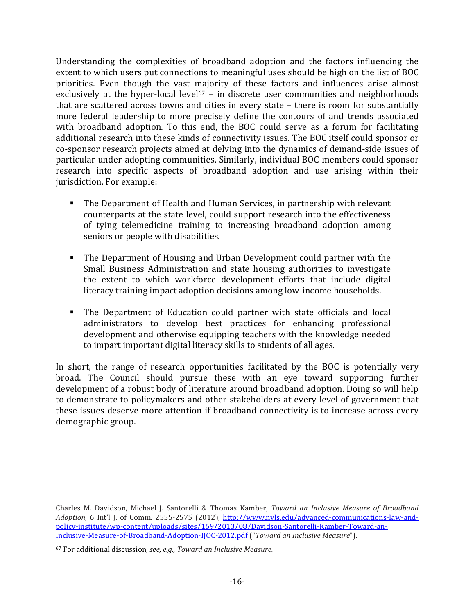Understanding the complexities of broadband adoption and the factors influencing the extent to which users put connections to meaningful uses should be high on the list of BOC priorities. Even though the vast majority of these factors and influences arise almost exclusively at the hyper-local level<sup>67</sup> – in discrete user communities and neighborhoods that are scattered across towns and cities in every state  $-$  there is room for substantially more federal leadership to more precisely define the contours of and trends associated with broadband adoption. To this end, the BOC could serve as a forum for facilitating additional research into these kinds of connectivity issues. The BOC itself could sponsor or co-sponsor research projects aimed at delving into the dynamics of demand-side issues of particular under-adopting communities. Similarly, individual BOC members could sponsor research into specific aspects of broadband adoption and use arising within their jurisdiction. For example:

- The Department of Health and Human Services, in partnership with relevant counterparts at the state level, could support research into the effectiveness of tying telemedicine training to increasing broadband adoption among seniors or people with disabilities.
- **The Department of Housing and Urban Development could partner with the** Small Business Administration and state housing authorities to investigate the extent to which workforce development efforts that include digital literacy training impact adoption decisions among low-income households.
- The Department of Education could partner with state officials and local administrators to develop best practices for enhancing professional development and otherwise equipping teachers with the knowledge needed to impart important digital literacy skills to students of all ages.

In short, the range of research opportunities facilitated by the BOC is potentially very broad. The Council should pursue these with an eye toward supporting further development of a robust body of literature around broadband adoption. Doing so will help to demonstrate to policymakers and other stakeholders at every level of government that these issues deserve more attention if broadband connectivity is to increase across every demographic group.

 $\overline{a}$ Charles M. Davidson, Michael J. Santorelli & Thomas Kamber, *Toward an Inclusive Measure of Broadband Adoption*, 6 Int'l J. of Comm. 2555-2575 (2012), http://www.nyls.edu/advanced-communications-law-andpolicy‐institute/wp‐content/uploads/sites/169/2013/08/Davidson‐Santorelli‐Kamber‐Toward‐an‐ Inclusive‐Measure‐of‐Broadband‐Adoption‐IJOC‐2012.pdf ("*Toward an Inclusive Measure*"). 

<sup>67</sup> For additional discussion, *see, e.g., Toward an Inclusive Measure.*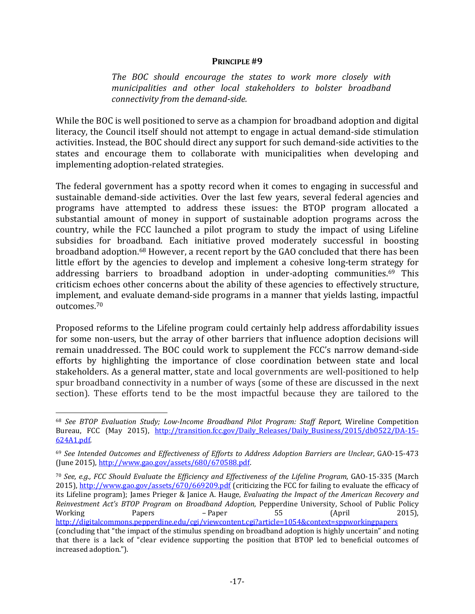#### **PRINCIPLE #9**

*The BOC should encourage the states to work more closely with municipalities and other local stakeholders to bolster broadband connectivity from the demand‐side.*

While the BOC is well positioned to serve as a champion for broadband adoption and digital literacy, the Council itself should not attempt to engage in actual demand-side stimulation activities. Instead, the BOC should direct any support for such demand-side activities to the states and encourage them to collaborate with municipalities when developing and implementing adoption-related strategies.

The federal government has a spotty record when it comes to engaging in successful and sustainable demand-side activities. Over the last few years, several federal agencies and programs have attempted to address these issues: the BTOP program allocated a substantial amount of money in support of sustainable adoption programs across the country, while the FCC launched a pilot program to study the impact of using Lifeline subsidies for broadband. Each initiative proved moderately successful in boosting broadband adoption.<sup>68</sup> However, a recent report by the GAO concluded that there has been little effort by the agencies to develop and implement a cohesive long-term strategy for addressing barriers to broadband adoption in under-adopting communities.<sup>69</sup> This criticism echoes other concerns about the ability of these agencies to effectively structure, implement, and evaluate demand-side programs in a manner that yields lasting, impactful outcomes.70 

Proposed reforms to the Lifeline program could certainly help address affordability issues for some non-users, but the array of other barriers that influence adoption decisions will remain unaddressed. The BOC could work to supplement the FCC's narrow demand-side efforts by highlighting the importance of close coordination between state and local stakeholders. As a general matter, state and local governments are well-positioned to help spur broadband connectivity in a number of ways (some of these are discussed in the next section). These efforts tend to be the most impactful because they are tailored to the

1

<sup>70</sup> *See, e.g., FCC Should Evaluate the Efficiency and Effectiveness of the Lifeline Program*, GAO‐15‐335 (March 2015), http://www.gao.gov/assets/670/669209.pdf (criticizing the FCC for failing to evaluate the efficacy of its Lifeline program); James Prieger & Janice A. Hauge, *Evaluating the Impact of the American Recovery and Reinvestment Act's BTOP Program on Broadband Adoption*, Pepperdine University, School of Public Policy Working Papers *–* Paper 55 (April 2015), http://digitalcommons.pepperdine.edu/cgi/viewcontent.cgi?article=1054&context=sppworkingpapers

<sup>68</sup> *See BTOP Evaluation Study; Low‐Income Broadband Pilot Program: Staff Report,* Wireline Competition Bureau, FCC (May 2015), http://transition.fcc.gov/Daily Releases/Daily Business/2015/db0522/DA-15‐ 624A1.pdf. 

<sup>69</sup> *See Intended Outcomes and Effectiveness of Efforts to Address Adoption Barriers are Unclear*, GAO‐15‐473 (June 2015),  $\frac{http://www.gao.gov/assets/680/670588.pdf}{http://www.gao.gov/assets/680/670588.pdf}$ 

<sup>(</sup>concluding that "the impact of the stimulus spending on broadband adoption is highly uncertain" and noting that there is a lack of "clear evidence supporting the position that BTOP led to beneficial outcomes of increased adoption.").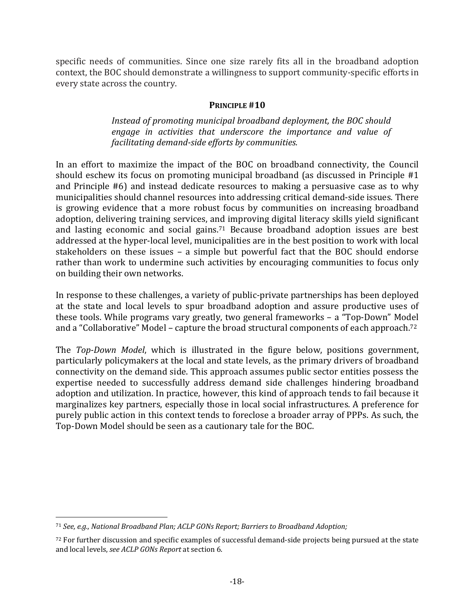specific needs of communities. Since one size rarely fits all in the broadband adoption context, the BOC should demonstrate a willingness to support community-specific efforts in every state across the country.

### **PRINCIPLE #10**

*Instead of promoting municipal broadband deployment, the BOC should engage in activities that underscore the importance and value of facilitating demand‐side efforts by communities.* 

In an effort to maximize the impact of the BOC on broadband connectivity, the Council should eschew its focus on promoting municipal broadband (as discussed in Principle  $#1$ ) and Principle #6) and instead dedicate resources to making a persuasive case as to why municipalities should channel resources into addressing critical demand-side issues. There is growing evidence that a more robust focus by communities on increasing broadband adoption, delivering training services, and improving digital literacy skills yield significant and lasting economic and social gains.<sup>71</sup> Because broadband adoption issues are best addressed at the hyper-local level, municipalities are in the best position to work with local stakeholders on these issues - a simple but powerful fact that the BOC should endorse rather than work to undermine such activities by encouraging communities to focus only on building their own networks.

In response to these challenges, a variety of public-private partnerships has been deployed at the state and local levels to spur broadband adoption and assure productive uses of these tools. While programs vary greatly, two general frameworks  $-$  a "Top-Down" Model and a "Collaborative" Model – capture the broad structural components of each approach.<sup>72</sup>

The *Top-Down Model*, which is illustrated in the figure below, positions government, particularly policymakers at the local and state levels, as the primary drivers of broadband connectivity on the demand side. This approach assumes public sector entities possess the expertise needed to successfully address demand side challenges hindering broadband adoption and utilization. In practice, however, this kind of approach tends to fail because it marginalizes key partners, especially those in local social infrastructures. A preference for purely public action in this context tends to foreclose a broader array of PPPs. As such, the Top-Down Model should be seen as a cautionary tale for the BOC.

<u>.</u>

<sup>71</sup> *See, e.g., National Broadband Plan; ACLP GONs Report; Barriers to Broadband Adoption;* 

 $72$  For further discussion and specific examples of successful demand-side projects being pursued at the state and local levels, *see ACLP GONs Report* at section 6.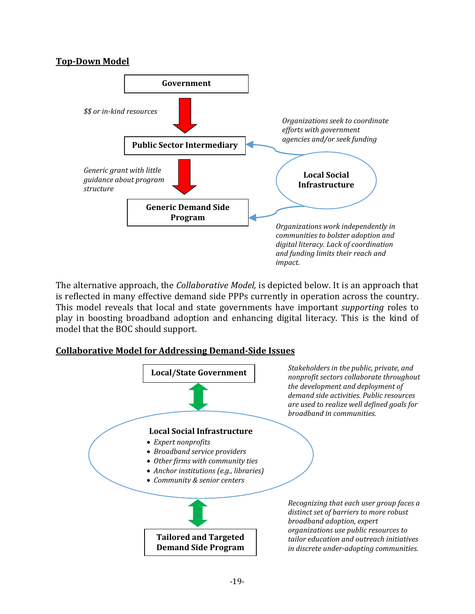# **Top‐Down Model**



The alternative approach, the *Collaborative Model*, is depicted below. It is an approach that is reflected in many effective demand side PPPs currently in operation across the country. This model reveals that local and state governments have important *supporting* roles to play in boosting broadband adoption and enhancing digital literacy. This is the kind of model that the BOC should support.

# **Collaborative Model for Addressing Demand‐Side Issues**